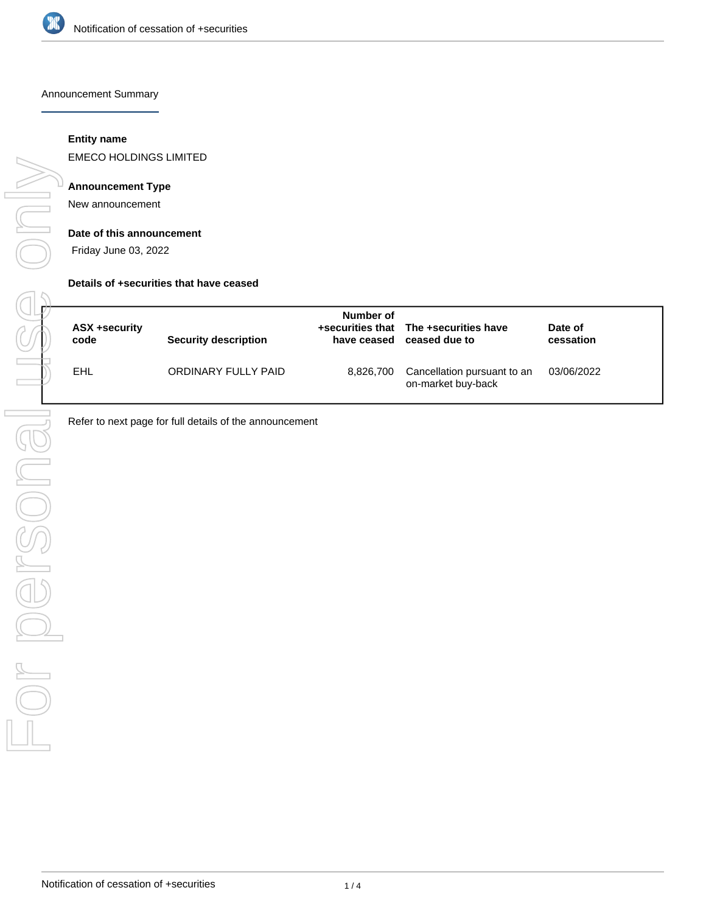

Announcement Summary

#### **Entity name**

EMECO HOLDINGS LIMITED

#### **Announcement Type**

New announcement

#### **Date of this announcement**

Friday June 03, 2022

#### **Details of +securities that have ceased**

| ASX +security | <b>Security description</b> | Number of   | +securities that The +securities have             | Date of    |
|---------------|-----------------------------|-------------|---------------------------------------------------|------------|
| code          |                             | have ceased | ceased due to                                     | cessation  |
| EHL           | ORDINARY FULLY PAID         | 8,826,700   | Cancellation pursuant to an<br>on-market buy-back | 03/06/2022 |

Refer to next page for full details of the announcement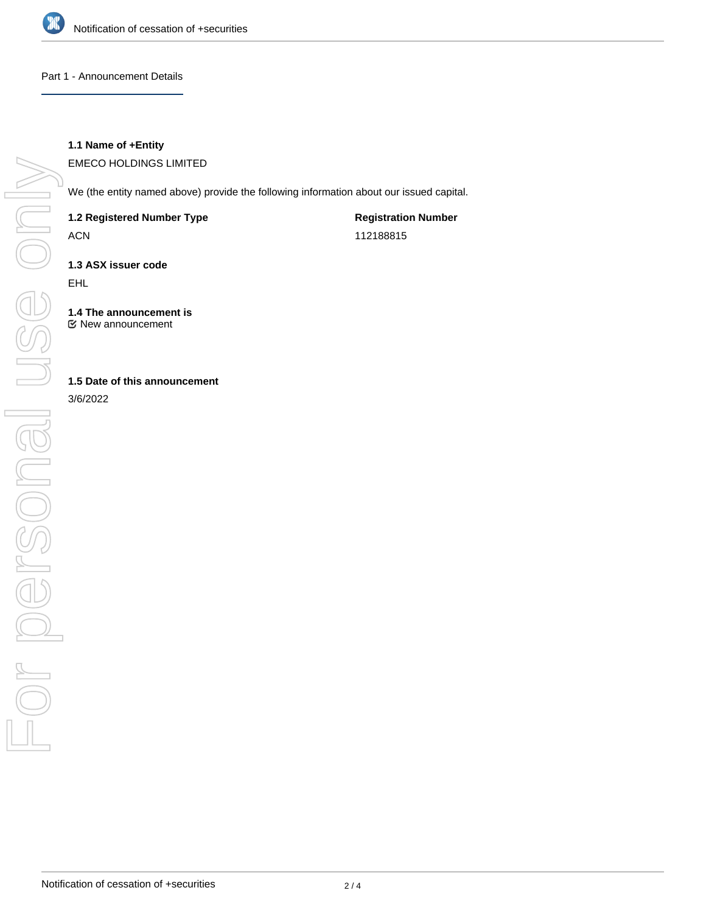

#### Part 1 - Announcement Details

#### **1.1 Name of +Entity**

EMECO HOLDINGS LIMITED

We (the entity named above) provide the following information about our issued capital.

**1.2 Registered Number Type**

ACN

**Registration Number** 112188815

**1.3 ASX issuer code**

EHL

**1.4 The announcement is** New announcement

#### **1.5 Date of this announcement**

3/6/2022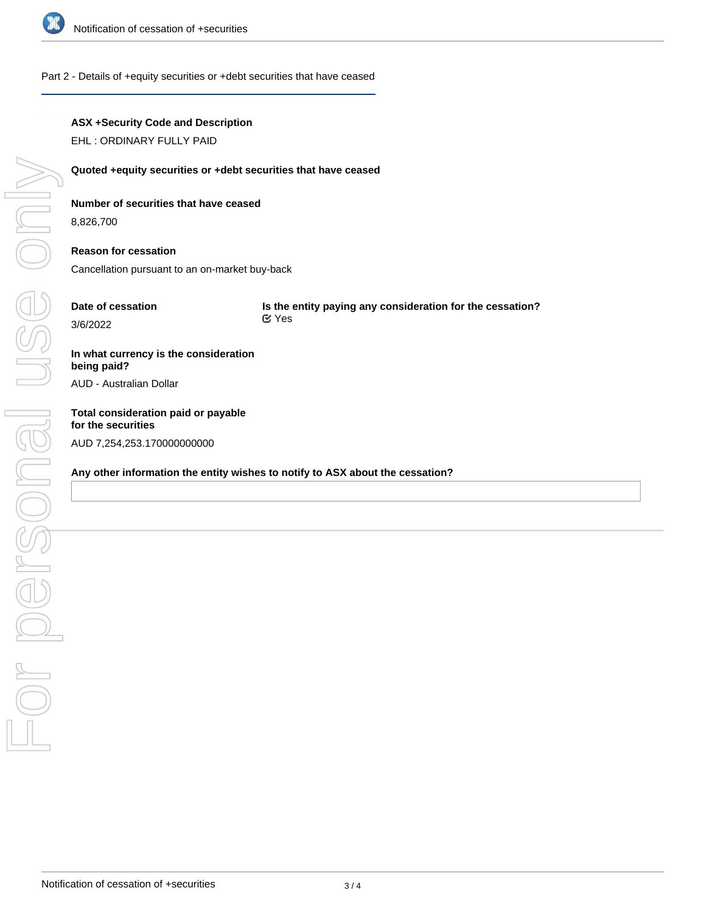

#### Part 2 - Details of +equity securities or +debt securities that have ceased

#### **ASX +Security Code and Description**

EHL : ORDINARY FULLY PAID

#### **Quoted +equity securities or +debt securities that have ceased**

#### **Number of securities that have ceased**

8,826,700

3/6/2022

## **Reason for cessation**

Cancellation pursuant to an on-market buy-back

## **Date of cessation**

**Is the entity paying any consideration for the cessation?** Yes

# **In what currency is the consideration being paid?**

AUD - Australian Dollar

## **Total consideration paid or payable for the securities** AUD 7,254,253.170000000000

#### **Any other information the entity wishes to notify to ASX about the cessation?**